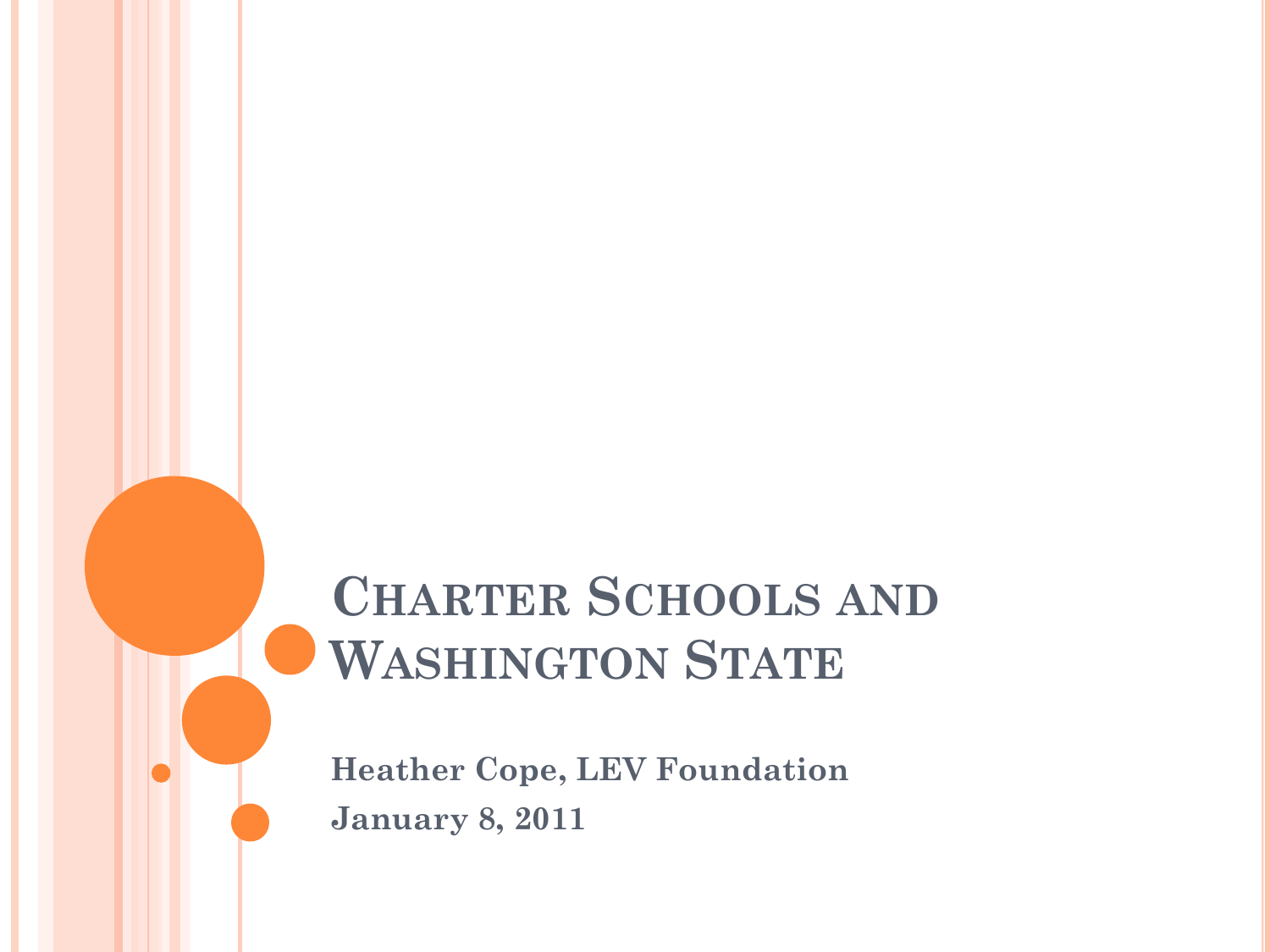# **CHARTER SCHOOLS AND WASHINGTON STATE**

**Heather Cope, LEV Foundation January 8, 2011**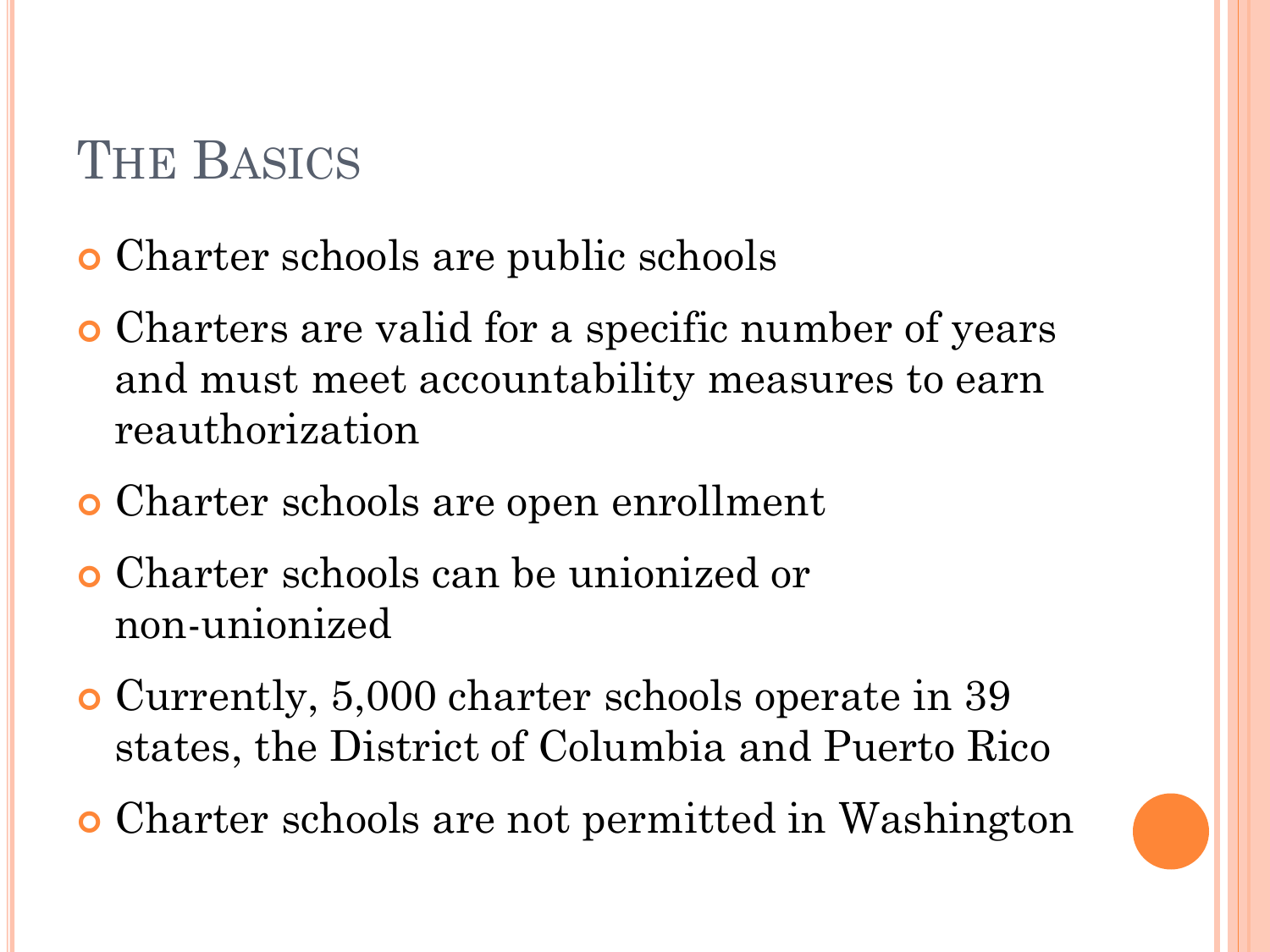## **THE BASICS**

- Charter schools are public schools
- Charters are valid for a specific number of years and must meet accountability measures to earn reauthorization
- Charter schools are open enrollment
- Charter schools can be unionized or non-unionized
- Currently, 5,000 charter schools operate in 39 states, the District of Columbia and Puerto Rico
- Charter schools are not permitted in Washington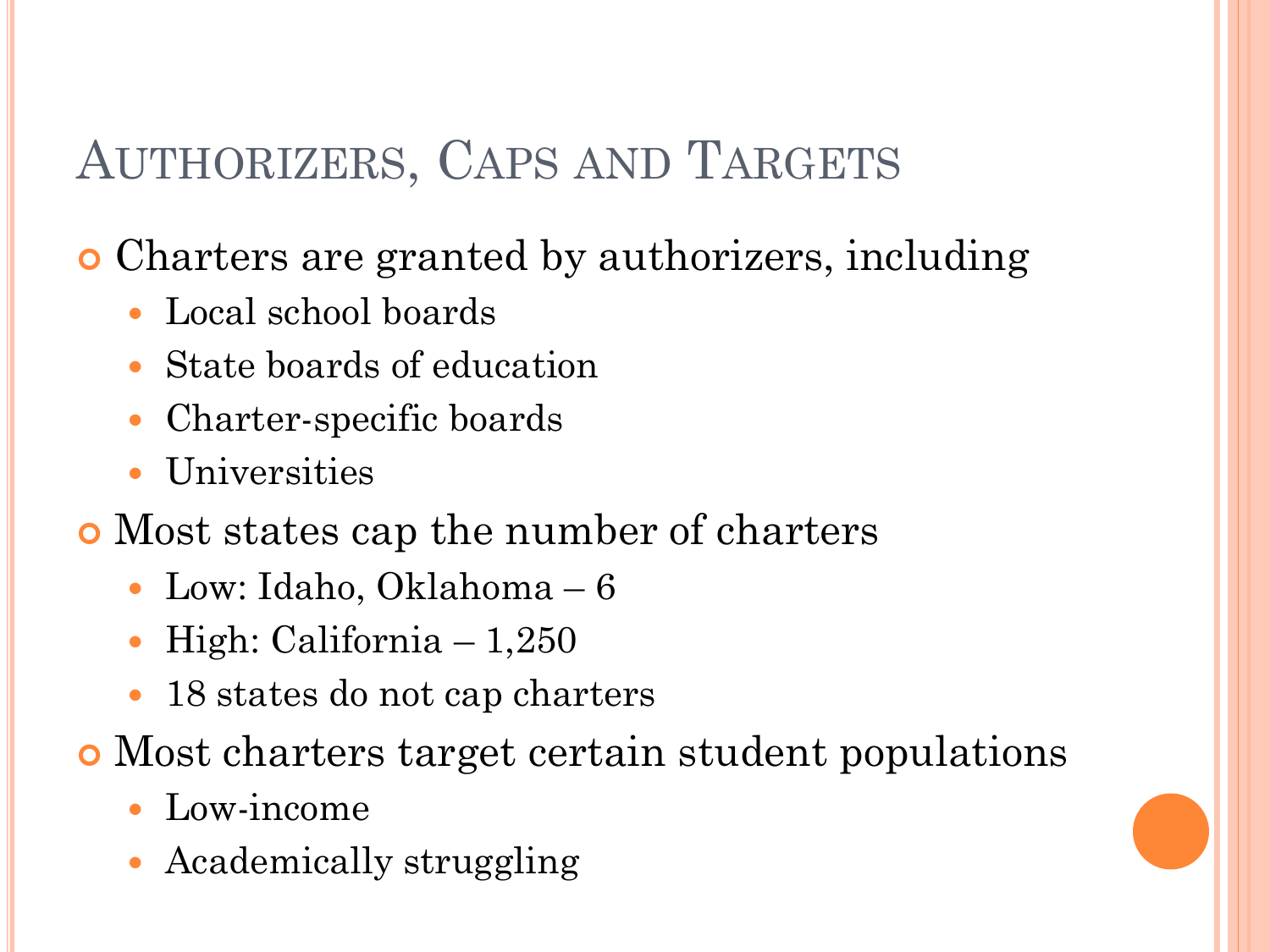### AUTHORIZERS, CAPS AND TARGETS

Charters are granted by authorizers, including

- Local school boards
- State boards of education
- Charter-specific boards
- Universities
- Most states cap the number of charters
	- Low: Idaho, Oklahoma 6
	- High: California  $-1,250$
	- 18 states do not cap charters
- Most charters target certain student populations
	- Low-income
	- Academically struggling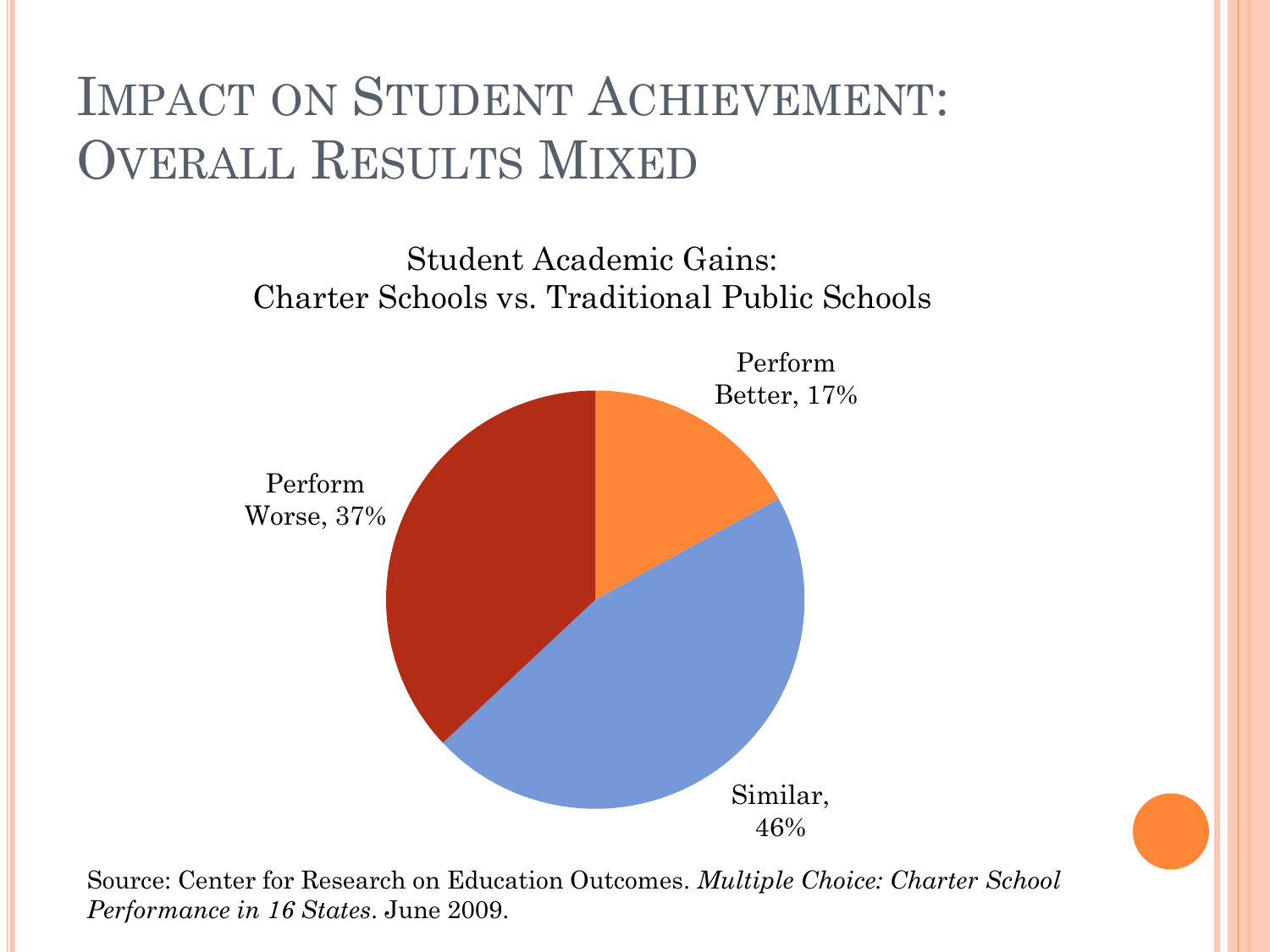## IMPACT ON STUDENT ACHIEVEMENT: OVERALL RESULTS MIXED

Student Academic Gains: Charter Schools vs. Traditional Public Schools



Source: Center for Research on Education Outcomes. *Multiple Choice: Charter School Performance in 16 States*. June 2009.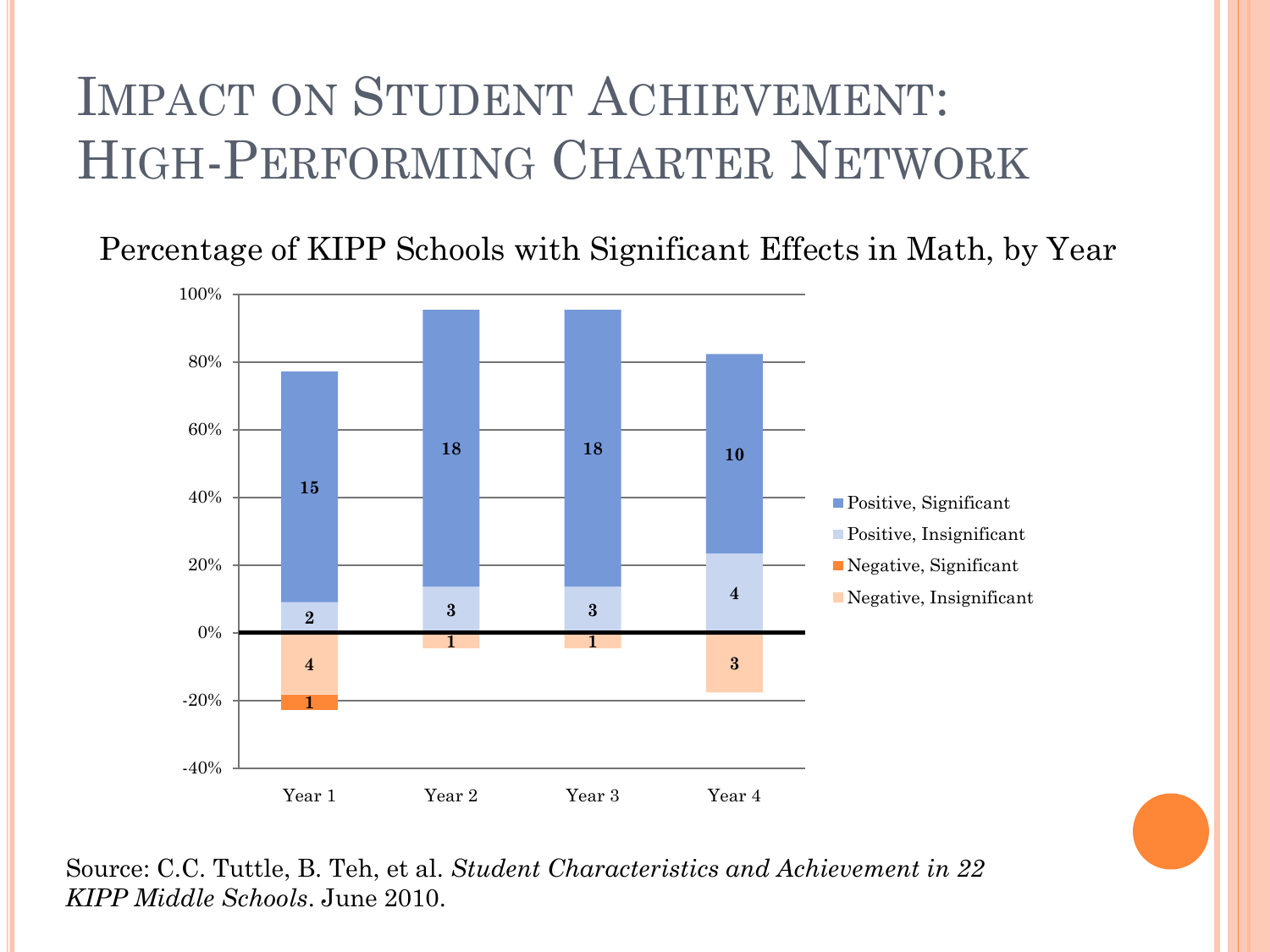## IMPACT ON STUDENT ACHIEVEMENT: HIGH-PERFORMING CHARTER NETWORK

Percentage of KIPP Schools with Significant Effects in Math, by Year



Source: C.C. Tuttle, B. Teh, et al. *Student Characteristics and Achievement in 22 KIPP Middle Schools*. June 2010.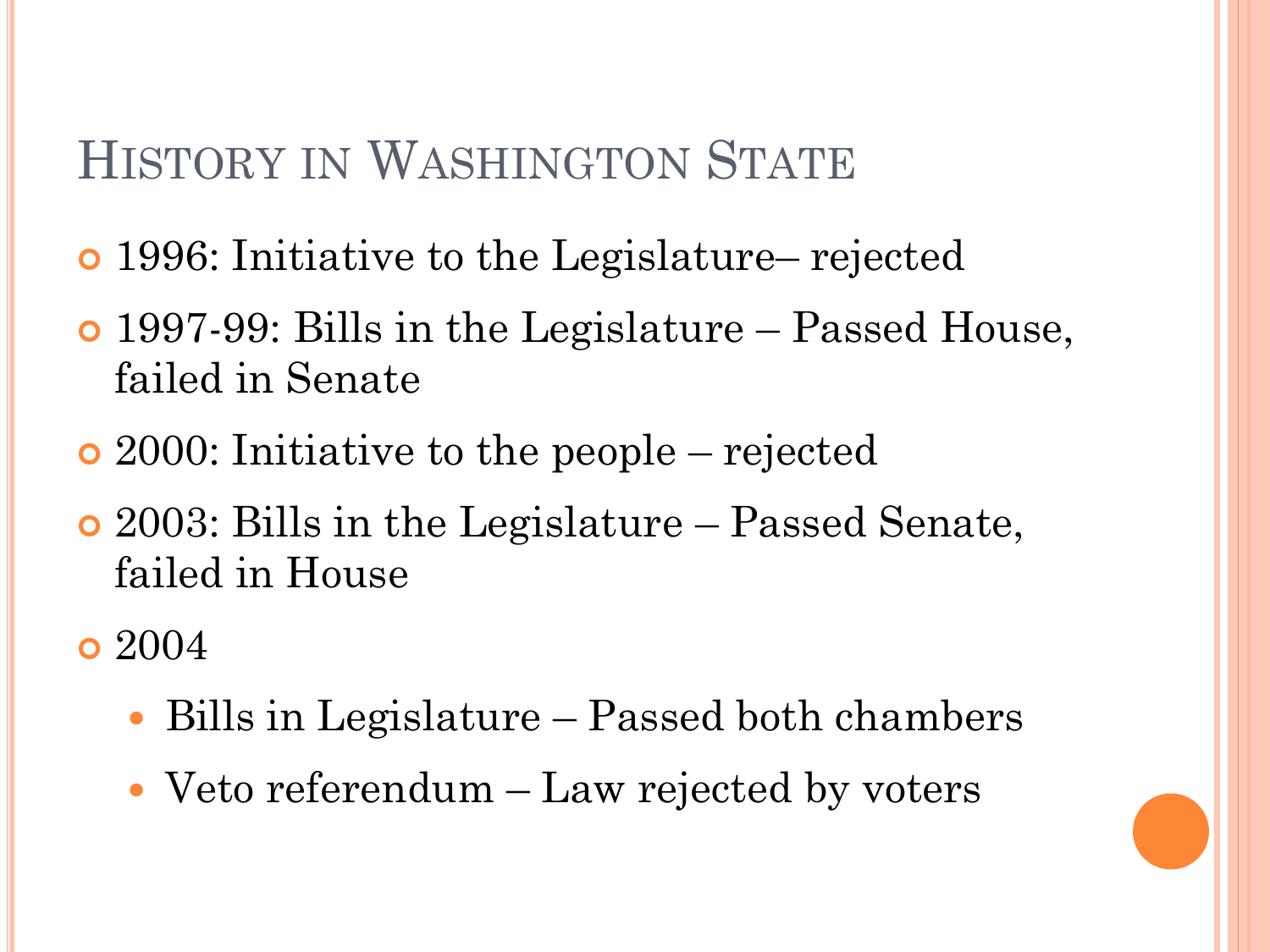#### HISTORY IN WASHINGTON STATE

- 1996: Initiative to the Legislature– rejected
- 1997-99: Bills in the Legislature Passed House, failed in Senate
- 2000: Initiative to the people rejected
- 2003: Bills in the Legislature Passed Senate, failed in House

**o** 2004

- Bills in Legislature Passed both chambers
- Veto referendum Law rejected by voters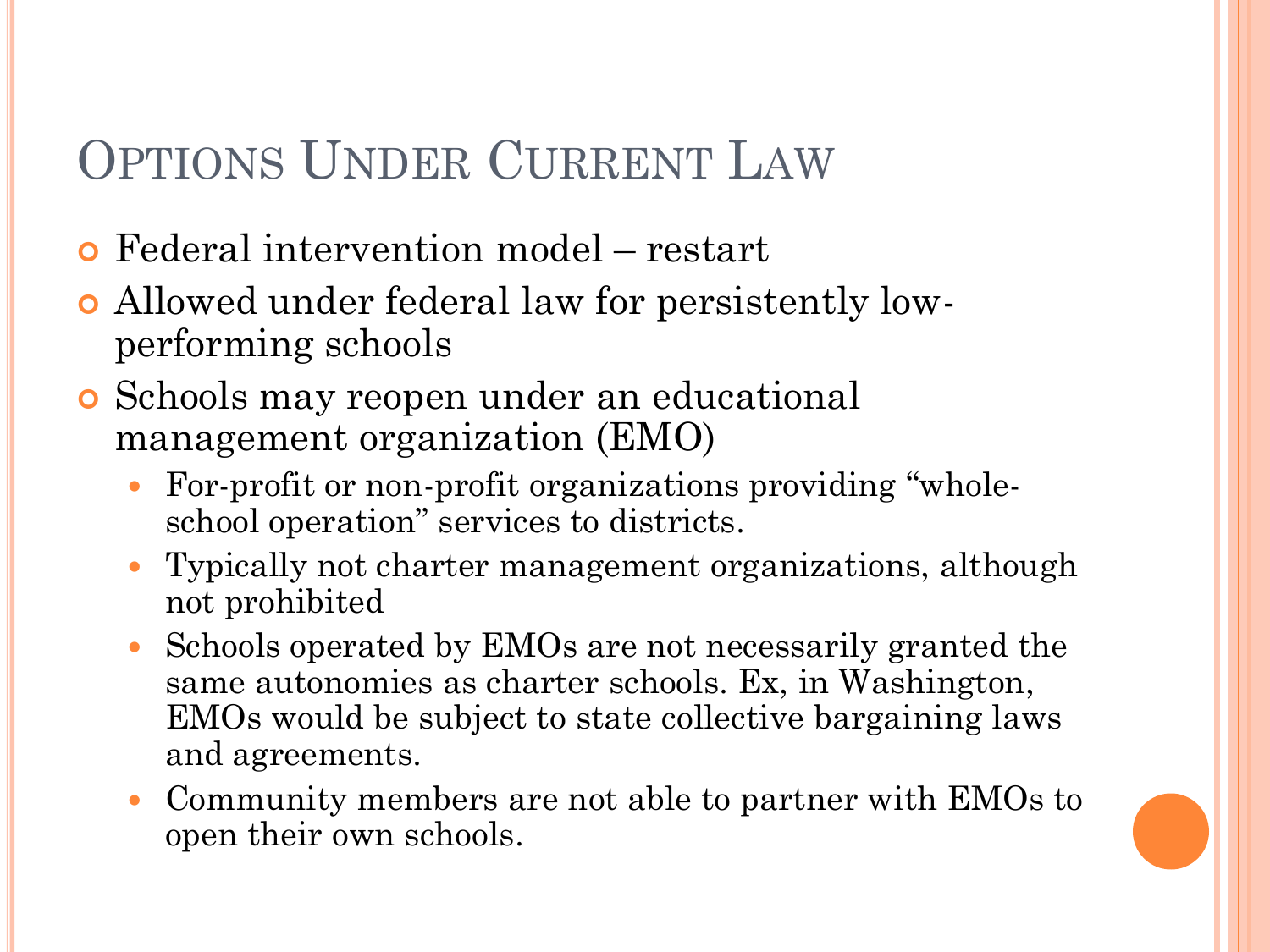### OPTIONS UNDER CURRENT LAW

- Federal intervention model restart
- Allowed under federal law for persistently lowperforming schools
- Schools may reopen under an educational management organization (EMO)
	- For-profit or non-profit organizations providing "wholeschool operation" services to districts.
	- Typically not charter management organizations, although not prohibited
	- Schools operated by EMOs are not necessarily granted the same autonomies as charter schools. Ex, in Washington, EMOs would be subject to state collective bargaining laws and agreements.
	- Community members are not able to partner with EMOs to open their own schools.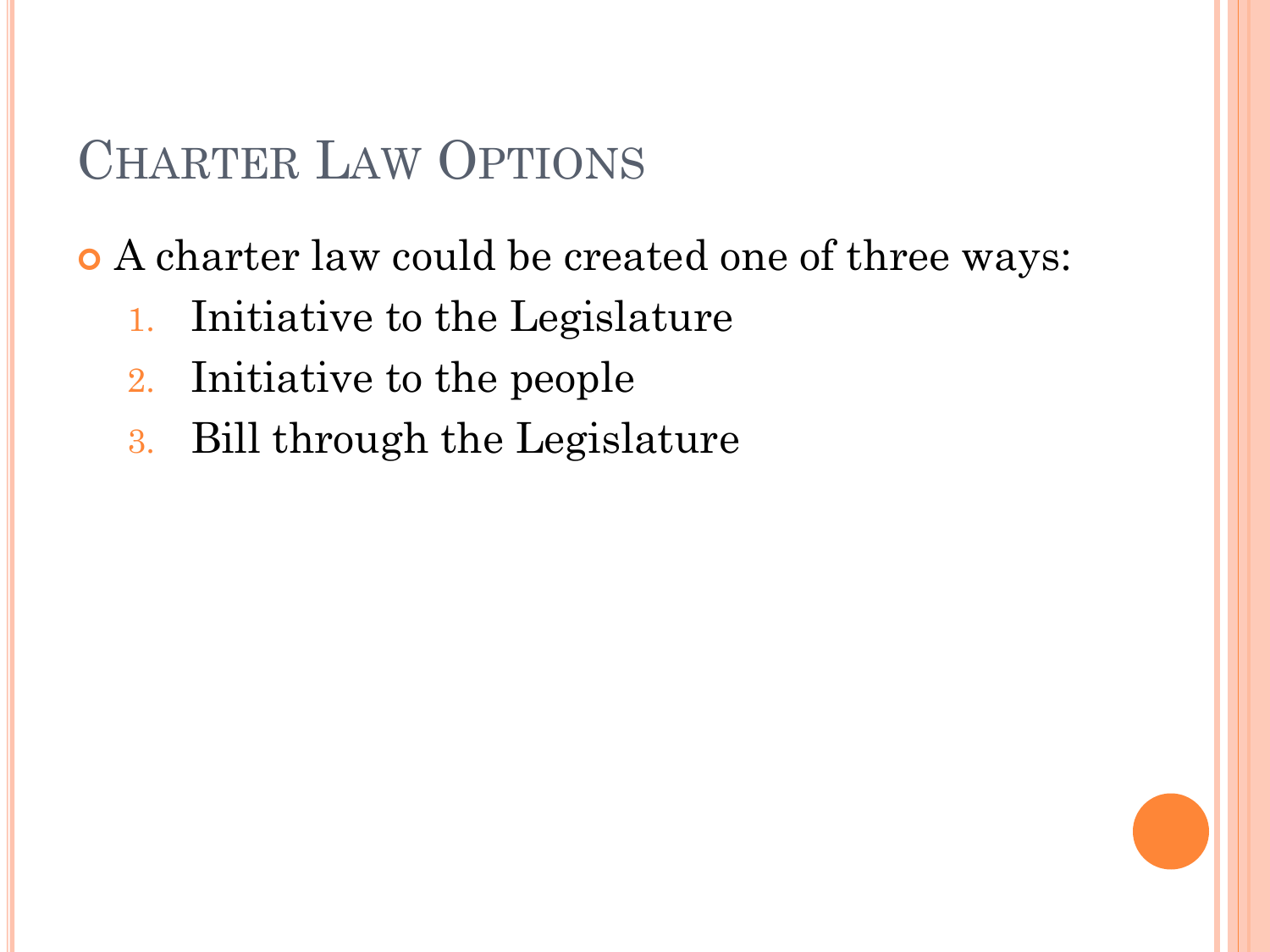### CHARTER LAW OPTIONS

A charter law could be created one of three ways:

- 1. Initiative to the Legislature
- 2. Initiative to the people
- 3. Bill through the Legislature